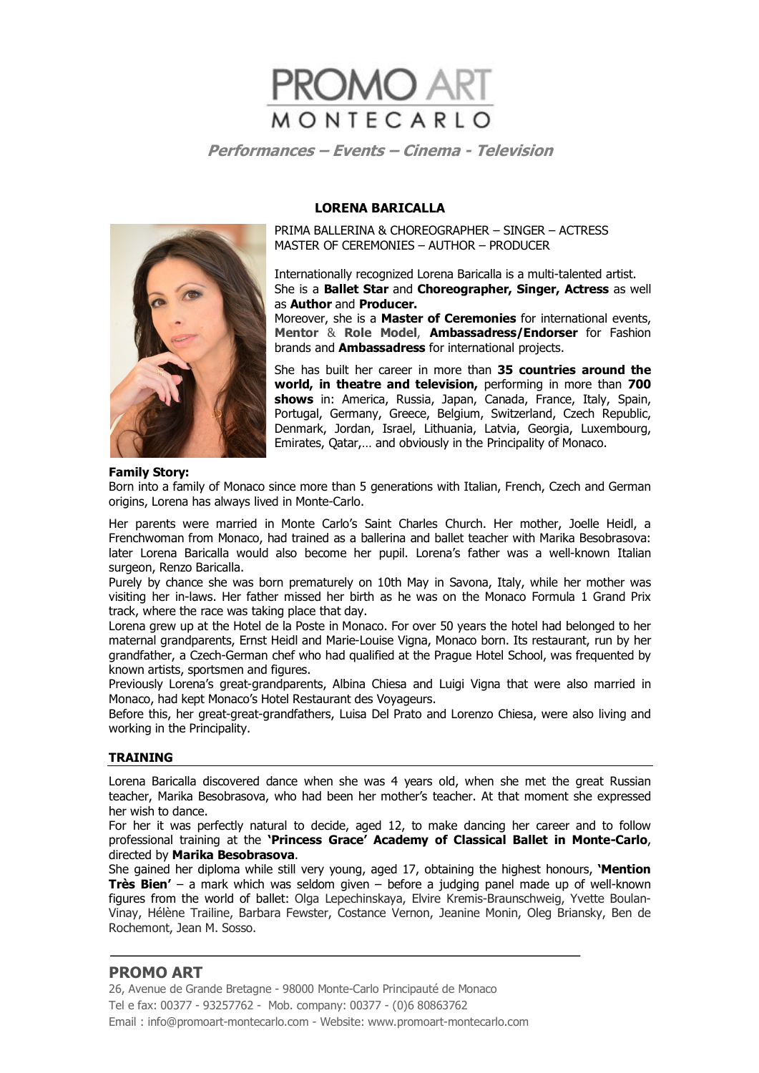

#### **LORENA BARICALLA**

PRIMA BALLERINA & CHOREOGRAPHER – SINGER – ACTRESS MASTER OF CEREMONIES – AUTHOR – PRODUCER

Internationally recognized Lorena Baricalla is a multi-talented artist. She is a **Ballet Star** and **Choreographer, Singer, Actress** as well as **Author** and **Producer.** 

Moreover, she is a **Master of Ceremonies** for international events, **Mentor** & **Role Model**, **Ambassadress/Endorser** for Fashion brands and **Ambassadress** for international projects.

She has built her career in more than **35 countries around the world, in theatre and television,** performing in more than **700 shows** in: America, Russia, Japan, Canada, France, Italy, Spain, Portugal, Germany, Greece, Belgium, Switzerland, Czech Republic, Denmark, Jordan, Israel, Lithuania, Latvia, Georgia, Luxembourg, Emirates, Qatar,… and obviously in the Principality of Monaco.



Born into a family of Monaco since more than 5 generations with Italian, French, Czech and German origins, Lorena has always lived in Monte-Carlo.

Her parents were married in Monte Carlo's Saint Charles Church. Her mother, Joelle Heidl, a Frenchwoman from Monaco, had trained as a ballerina and ballet teacher with Marika Besobrasova: later Lorena Baricalla would also become her pupil. Lorena's father was a well-known Italian surgeon, Renzo Baricalla.

Purely by chance she was born prematurely on 10th May in Savona, Italy, while her mother was visiting her in-laws. Her father missed her birth as he was on the Monaco Formula 1 Grand Prix track, where the race was taking place that day.

Lorena grew up at the Hotel de la Poste in Monaco. For over 50 years the hotel had belonged to her maternal grandparents, Ernst Heidl and Marie-Louise Vigna, Monaco born. Its restaurant, run by her grandfather, a Czech-German chef who had qualified at the Prague Hotel School, was frequented by known artists, sportsmen and figures.

Previously Lorena's great-grandparents, Albina Chiesa and Luigi Vigna that were also married in Monaco, had kept Monaco's Hotel Restaurant des Voyageurs.

Before this, her great-great-grandfathers, Luisa Del Prato and Lorenzo Chiesa, were also living and working in the Principality.

#### **TRAINING**

Lorena Baricalla discovered dance when she was 4 years old, when she met the great Russian teacher, Marika Besobrasova, who had been her mother's teacher. At that moment she expressed her wish to dance.

For her it was perfectly natural to decide, aged 12, to make dancing her career and to follow professional training at the **'Princess Grace' Academy of Classical Ballet in Monte-Carlo**, directed by **Marika Besobrasova**.

She gained her diploma while still very young, aged 17, obtaining the highest honours, **'Mention Très Bien'** – a mark which was seldom given – before a judging panel made up of well-known figures from the world of ballet: Olga Lepechinskaya, Elvire Kremis-Braunschweig, Yvette Boulan-Vinay, Hélène Trailine, Barbara Fewster, Costance Vernon, Jeanine Monin, Oleg Briansky, Ben de Rochemont, Jean M. Sosso.

# **PROMO ART**

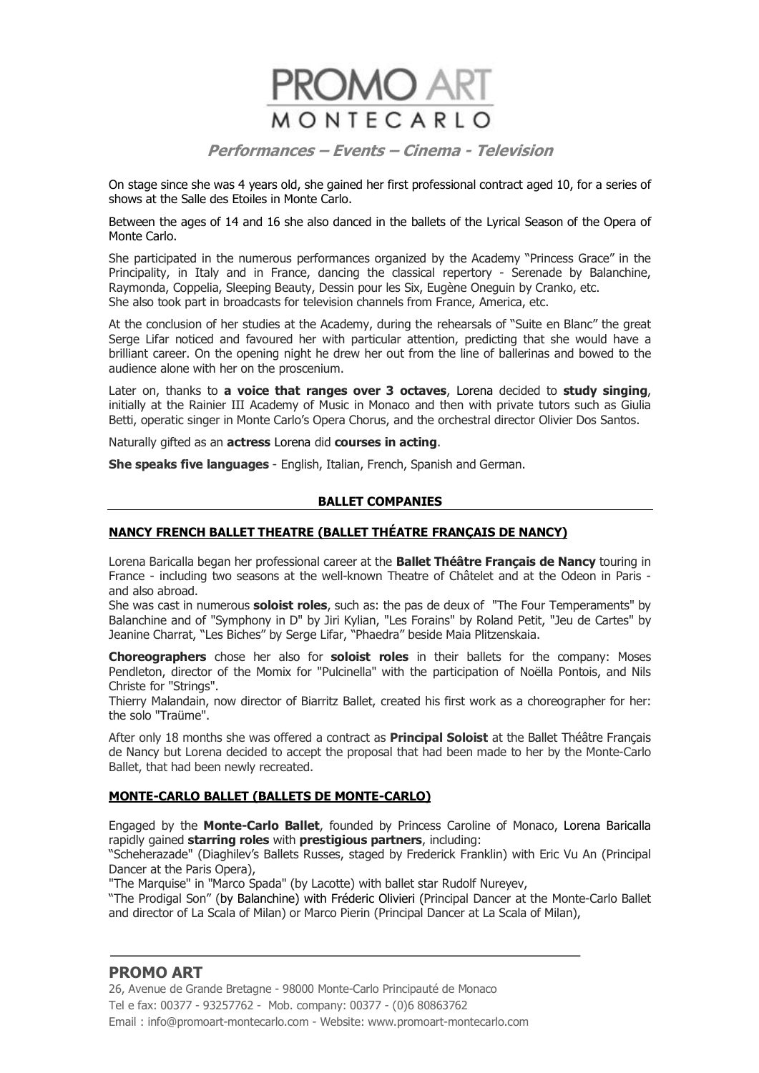

On stage since she was 4 years old, she gained her first professional contract aged 10, for a series of shows at the Salle des Etoiles in Monte Carlo.

Between the ages of 14 and 16 she also danced in the ballets of the Lyrical Season of the Opera of Monte Carlo.

She participated in the numerous performances organized by the Academy "Princess Grace" in the Principality, in Italy and in France, dancing the classical repertory - Serenade by Balanchine, Raymonda, Coppelia, Sleeping Beauty, Dessin pour les Six, Eugène Oneguin by Cranko, etc. She also took part in broadcasts for television channels from France, America, etc.

At the conclusion of her studies at the Academy, during the rehearsals of "Suite en Blanc" the great Serge Lifar noticed and favoured her with particular attention, predicting that she would have a brilliant career. On the opening night he drew her out from the line of ballerinas and bowed to the audience alone with her on the proscenium.

Later on, thanks to **a voice that ranges over 3 octaves**, Lorena decided to **study singing**, initially at the Rainier III Academy of Music in Monaco and then with private tutors such as Giulia Betti, operatic singer in Monte Carlo's Opera Chorus, and the orchestral director Olivier Dos Santos.

Naturally gifted as an **actress** Lorena did **courses in acting**.

**She speaks five languages** - English, Italian, French, Spanish and German.

#### **BALLET COMPANIES**

#### **NANCY FRENCH BALLET THEATRE (BALLET THÉATRE FRANÇAIS DE NANCY)**

Lorena Baricalla began her professional career at the **Ballet Théâtre Français de Nancy** touring in France - including two seasons at the well-known Theatre of Châtelet and at the Odeon in Paris and also abroad.

She was cast in numerous **soloist roles**, such as: the pas de deux of "The Four Temperaments" by Balanchine and of "Symphony in D" by Jiri Kylian, "Les Forains" by Roland Petit, "Jeu de Cartes" by Jeanine Charrat, "Les Biches" by Serge Lifar, "Phaedra" beside Maia Plitzenskaia.

**Choreographers** chose her also for **soloist roles** in their ballets for the company: Moses Pendleton, director of the Momix for "Pulcinella" with the participation of Noëlla Pontois, and Nils Christe for "Strings".

Thierry Malandain, now director of Biarritz Ballet, created his first work as a choreographer for her: the solo "Traüme".

After only 18 months she was offered a contract as **Principal Soloist** at the Ballet Théâtre Français de Nancy but Lorena decided to accept the proposal that had been made to her by the Monte-Carlo Ballet, that had been newly recreated.

#### **MONTE-CARLO BALLET (BALLETS DE MONTE-CARLO)**

Engaged by the **Monte-Carlo Ballet**, founded by Princess Caroline of Monaco, Lorena Baricalla rapidly gained **starring roles** with **prestigious partners**, including:

"Scheherazade" (Diaghilev's Ballets Russes, staged by Frederick Franklin) with Eric Vu An (Principal Dancer at the Paris Opera),

"The Marquise" in "Marco Spada" (by Lacotte) with ballet star Rudolf Nureyev,

"The Prodigal Son" (by Balanchine) with Fréderic Olivieri (Principal Dancer at the Monte-Carlo Ballet and director of La Scala of Milan) or Marco Pierin (Principal Dancer at La Scala of Milan),

# **PROMO ART**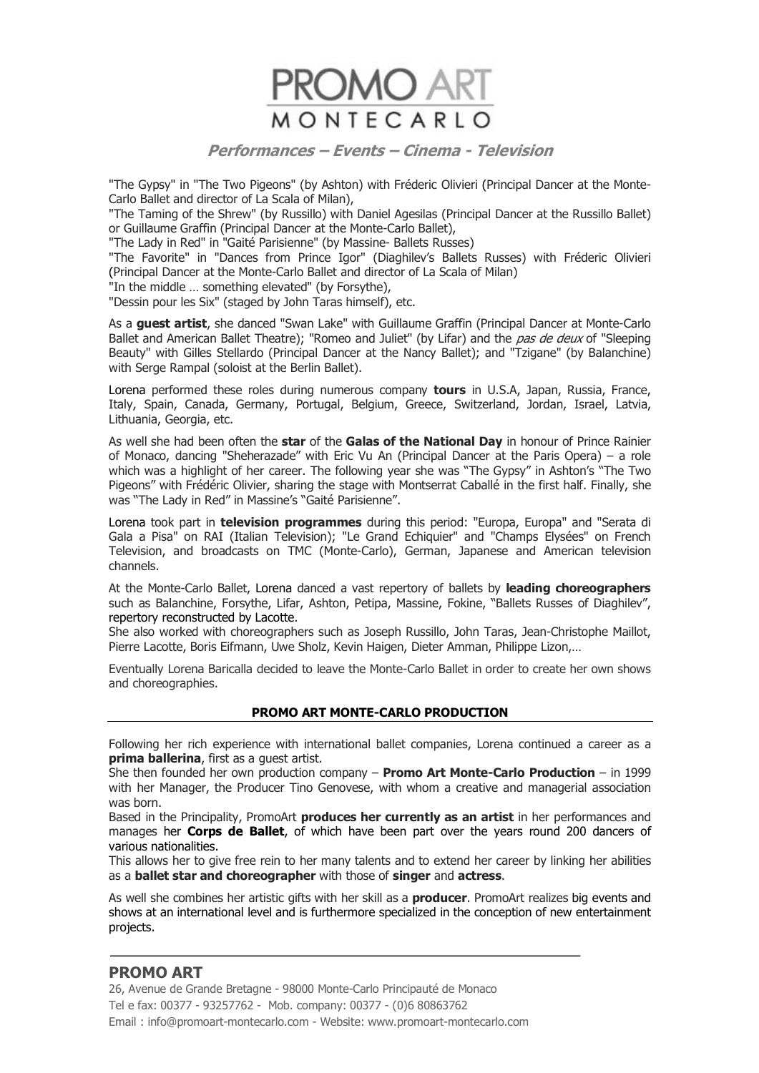

"The Gypsy" in "The Two Pigeons" (by Ashton) with Fréderic Olivieri (Principal Dancer at the Monte-Carlo Ballet and director of La Scala of Milan),

"The Taming of the Shrew" (by Russillo) with Daniel Agesilas (Principal Dancer at the Russillo Ballet) or Guillaume Graffin (Principal Dancer at the Monte-Carlo Ballet),

"The Lady in Red" in "Gaité Parisienne" (by Massine- Ballets Russes)

"The Favorite" in "Dances from Prince Igor" (Diaghilev's Ballets Russes) with Fréderic Olivieri (Principal Dancer at the Monte-Carlo Ballet and director of La Scala of Milan)

"In the middle … something elevated" (by Forsythe),

"Dessin pour les Six" (staged by John Taras himself), etc.

As a **guest artist**, she danced "Swan Lake" with Guillaume Graffin (Principal Dancer at Monte-Carlo Ballet and American Ballet Theatre); "Romeo and Juliet" (by Lifar) and the pas de deux of "Sleeping Beauty" with Gilles Stellardo (Principal Dancer at the Nancy Ballet); and "Tzigane" (by Balanchine) with Serge Rampal (soloist at the Berlin Ballet).

Lorena performed these roles during numerous company **tours** in U.S.A, Japan, Russia, France, Italy, Spain, Canada, Germany, Portugal, Belgium, Greece, Switzerland, Jordan, Israel, Latvia, Lithuania, Georgia, etc.

As well she had been often the **star** of the **Galas of the National Day** in honour of Prince Rainier of Monaco, dancing "Sheherazade" with Eric Vu An (Principal Dancer at the Paris Opera) – a role which was a highlight of her career. The following year she was "The Gypsy" in Ashton's "The Two Pigeons" with Frédéric Olivier, sharing the stage with Montserrat Caballé in the first half. Finally, she was "The Lady in Red" in Massine's "Gaité Parisienne".

Lorena took part in **television programmes** during this period: "Europa, Europa" and "Serata di Gala a Pisa" on RAI (Italian Television); "Le Grand Echiquier" and "Champs Elysées" on French Television, and broadcasts on TMC (Monte-Carlo), German, Japanese and American television channels.

At the Monte-Carlo Ballet, Lorena danced a vast repertory of ballets by **leading choreographers** such as Balanchine, Forsythe, Lifar, Ashton, Petipa, Massine, Fokine, "Ballets Russes of Diaghilev", repertory reconstructed by Lacotte.

She also worked with choreographers such as Joseph Russillo, John Taras, Jean-Christophe Maillot, Pierre Lacotte, Boris Eifmann, Uwe Sholz, Kevin Haigen, Dieter Amman, Philippe Lizon,…

Eventually Lorena Baricalla decided to leave the Monte-Carlo Ballet in order to create her own shows and choreographies.

#### **PROMO ART MONTE-CARLO PRODUCTION**

Following her rich experience with international ballet companies, Lorena continued a career as a **prima ballerina**, first as a guest artist.

She then founded her own production company – **Promo Art Monte-Carlo Production** – in 1999 with her Manager, the Producer Tino Genovese, with whom a creative and managerial association was born.

Based in the Principality, PromoArt **produces her currently as an artist** in her performances and manages her **Corps de Ballet**, of which have been part over the years round 200 dancers of various nationalities.

This allows her to give free rein to her many talents and to extend her career by linking her abilities as a **ballet star and choreographer** with those of **singer** and **actress**.

As well she combines her artistic gifts with her skill as a **producer**. PromoArt realizes big events and shows at an international level and is furthermore specialized in the conception of new entertainment projects.

# **PROMO ART**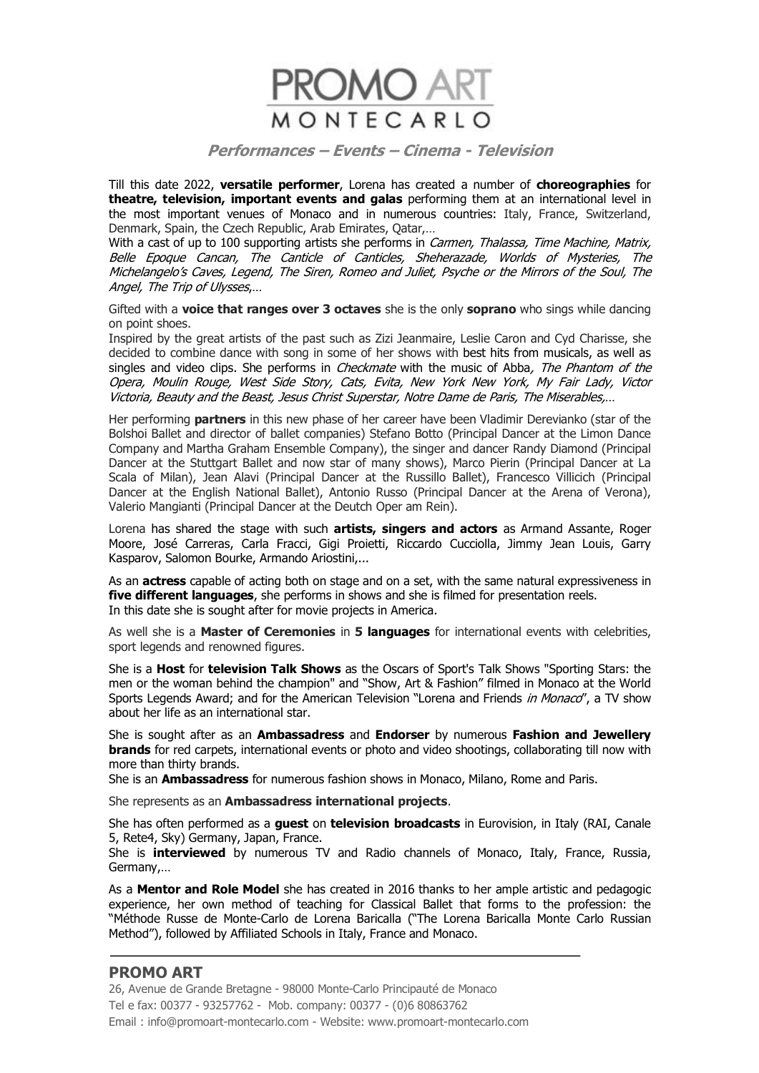

Till this date 2022, **versatile performer**, Lorena has created a number of **choreographies** for **theatre, television, important events and galas** performing them at an international level in the most important venues of Monaco and in numerous countries: Italy, France, Switzerland, Denmark, Spain, the Czech Republic, Arab Emirates, Qatar,…

With a cast of up to 100 supporting artists she performs in Carmen, Thalassa, Time Machine, Matrix, Belle Epoque Cancan, The Canticle of Canticles, Sheherazade, Worlds of Mysteries, The Michelangelo's Caves, Legend, The Siren, Romeo and Juliet, Psyche or the Mirrors of the Soul, The Angel, The Trip of Ulysses,…

Gifted with a **voice that ranges over 3 octaves** she is the only **soprano** who sings while dancing on point shoes.

Inspired by the great artists of the past such as Zizi Jeanmaire, Leslie Caron and Cyd Charisse, she decided to combine dance with song in some of her shows with best hits from musicals, as well as singles and video clips. She performs in *Checkmate* with the music of Abba, The Phantom of the Opera, Moulin Rouge, West Side Story, Cats, Evita, New York New York, My Fair Lady, Victor Victoria, Beauty and the Beast, Jesus Christ Superstar, Notre Dame de Paris, The Miserables,…

Her performing **partners** in this new phase of her career have been Vladimir Derevianko (star of the Bolshoi Ballet and director of ballet companies) Stefano Botto (Principal Dancer at the Limon Dance Company and Martha Graham Ensemble Company), the singer and dancer Randy Diamond (Principal Dancer at the Stuttgart Ballet and now star of many shows), Marco Pierin (Principal Dancer at La Scala of Milan), Jean Alavi (Principal Dancer at the Russillo Ballet), Francesco Villicich (Principal Dancer at the English National Ballet), Antonio Russo (Principal Dancer at the Arena of Verona), Valerio Mangianti (Principal Dancer at the Deutch Oper am Rein).

Lorena has shared the stage with such **artists, singers and actors** as Armand Assante, Roger Moore, José Carreras, Carla Fracci, Gigi Proietti, Riccardo Cucciolla, Jimmy Jean Louis, Garry Kasparov, Salomon Bourke, Armando Ariostini,...

As an **actress** capable of acting both on stage and on a set, with the same natural expressiveness in **five different languages**, she performs in shows and she is filmed for presentation reels. In this date she is sought after for movie projects in America.

As well she is a **Master of Ceremonies** in **5 languages** for international events with celebrities, sport legends and renowned figures.

She is a **Host** for **television Talk Shows** as the Oscars of Sport's Talk Shows "Sporting Stars: the men or the woman behind the champion" and "Show, Art & Fashion" filmed in Monaco at the World Sports Legends Award; and for the American Television "Lorena and Friends *in Monaco"*, a TV show about her life as an international star.

She is sought after as an **Ambassadress** and **Endorser** by numerous **Fashion and Jewellery brands** for red carpets, international events or photo and video shootings, collaborating till now with more than thirty brands.

She is an **Ambassadress** for numerous fashion shows in Monaco, Milano, Rome and Paris.

She represents as an **Ambassadress international projects**.

She has often performed as a **guest** on **television broadcasts** in Eurovision, in Italy (RAI, Canale 5, Rete4, Sky) Germany, Japan, France.

She is **interviewed** by numerous TV and Radio channels of Monaco, Italy, France, Russia, Germany,…

As a **Mentor and Role Model** she has created in 2016 thanks to her ample artistic and pedagogic experience, her own method of teaching for Classical Ballet that forms to the profession: the "Méthode Russe de Monte-Carlo de Lorena Baricalla ("The Lorena Baricalla Monte Carlo Russian Method"), followed by Affiliated Schools in Italy, France and Monaco.

# **PROMO ART**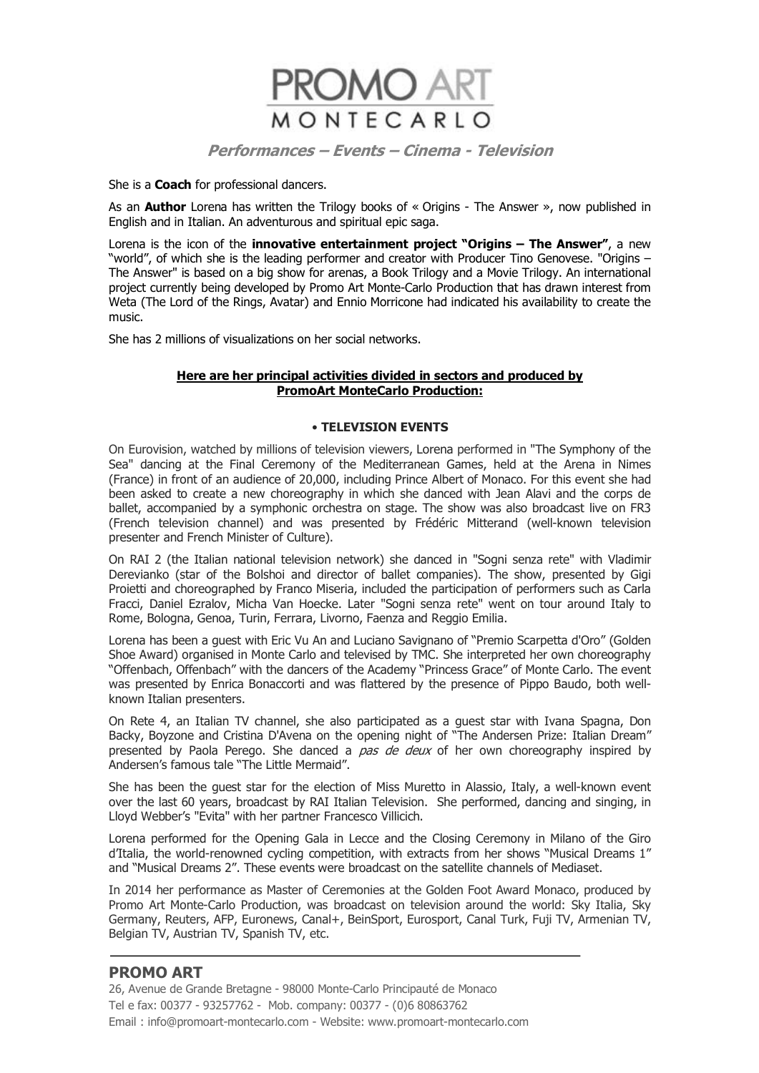

She is a **Coach** for professional dancers.

As an **Author** Lorena has written the Trilogy books of « Origins - The Answer », now published in English and in Italian. An adventurous and spiritual epic saga.

Lorena is the icon of the **innovative entertainment project "Origins – The Answer"**, a new "world", of which she is the leading performer and creator with Producer Tino Genovese. "Origins – The Answer" is based on a big show for arenas, a Book Trilogy and a Movie Trilogy. An international project currently being developed by Promo Art Monte-Carlo Production that has drawn interest from Weta (The Lord of the Rings, Avatar) and Ennio Morricone had indicated his availability to create the music.

She has 2 millions of visualizations on her social networks.

#### **Here are her principal activities divided in sectors and produced by PromoArt MonteCarlo Production:**

#### • **TELEVISION EVENTS**

On Eurovision, watched by millions of television viewers, Lorena performed in "The Symphony of the Sea" dancing at the Final Ceremony of the Mediterranean Games, held at the Arena in Nimes (France) in front of an audience of 20,000, including Prince Albert of Monaco. For this event she had been asked to create a new choreography in which she danced with Jean Alavi and the corps de ballet, accompanied by a symphonic orchestra on stage. The show was also broadcast live on FR3 (French television channel) and was presented by Frédéric Mitterand (well-known television presenter and French Minister of Culture).

On RAI 2 (the Italian national television network) she danced in "Sogni senza rete" with Vladimir Derevianko (star of the Bolshoi and director of ballet companies). The show, presented by Gigi Proietti and choreographed by Franco Miseria, included the participation of performers such as Carla Fracci, Daniel Ezralov, Micha Van Hoecke. Later "Sogni senza rete" went on tour around Italy to Rome, Bologna, Genoa, Turin, Ferrara, Livorno, Faenza and Reggio Emilia.

Lorena has been a guest with Eric Vu An and Luciano Savignano of "Premio Scarpetta d'Oro" (Golden Shoe Award) organised in Monte Carlo and televised by TMC. She interpreted her own choreography "Offenbach, Offenbach" with the dancers of the Academy "Princess Grace" of Monte Carlo. The event was presented by Enrica Bonaccorti and was flattered by the presence of Pippo Baudo, both wellknown Italian presenters.

On Rete 4, an Italian TV channel, she also participated as a guest star with Ivana Spagna, Don Backy, Boyzone and Cristina D'Avena on the opening night of "The Andersen Prize: Italian Dream" presented by Paola Perego. She danced a *pas de deux* of her own choreography inspired by Andersen's famous tale "The Little Mermaid".

She has been the guest star for the election of Miss Muretto in Alassio, Italy, a well-known event over the last 60 years, broadcast by RAI Italian Television. She performed, dancing and singing, in Lloyd Webber's "Evita" with her partner Francesco Villicich.

Lorena performed for the Opening Gala in Lecce and the Closing Ceremony in Milano of the Giro d'Italia, the world-renowned cycling competition, with extracts from her shows "Musical Dreams 1" and "Musical Dreams 2". These events were broadcast on the satellite channels of Mediaset.

In 2014 her performance as Master of Ceremonies at the Golden Foot Award Monaco, produced by Promo Art Monte-Carlo Production, was broadcast on television around the world: Sky Italia, Sky Germany, Reuters, AFP, Euronews, Canal+, BeinSport, Eurosport, Canal Turk, Fuji TV, Armenian TV, Belgian TV, Austrian TV, Spanish TV, etc.

# **PROMO ART**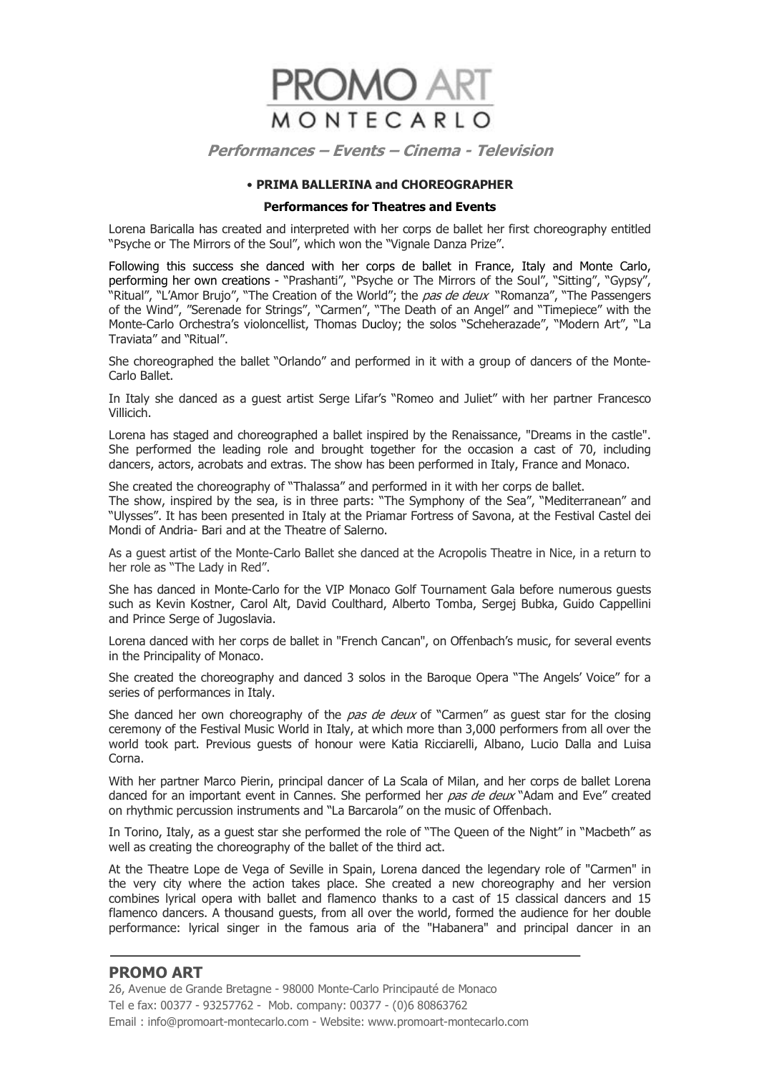

#### • **PRIMA BALLERINA and CHOREOGRAPHER**

### **Performances for Theatres and Events**

Lorena Baricalla has created and interpreted with her corps de ballet her first choreography entitled "Psyche or The Mirrors of the Soul", which won the "Vignale Danza Prize".

Following this success she danced with her corps de ballet in France, Italy and Monte Carlo, performing her own creations - "Prashanti", "Psyche or The Mirrors of the Soul", "Sitting", "Gypsy", "Ritual", "L'Amor Brujo", "The Creation of the World"; the pas de deux "Romanza", "The Passengers of the Wind", "Serenade for Strings", "Carmen", "The Death of an Angel" and "Timepiece" with the Monte-Carlo Orchestra's violoncellist, Thomas Ducloy; the solos "Scheherazade", "Modern Art", "La Traviata" and "Ritual".

She choreographed the ballet "Orlando" and performed in it with a group of dancers of the Monte-Carlo Ballet.

In Italy she danced as a guest artist Serge Lifar's "Romeo and Juliet" with her partner Francesco Villicich.

Lorena has staged and choreographed a ballet inspired by the Renaissance, "Dreams in the castle". She performed the leading role and brought together for the occasion a cast of 70, including dancers, actors, acrobats and extras. The show has been performed in Italy, France and Monaco.

She created the choreography of "Thalassa" and performed in it with her corps de ballet.

The show, inspired by the sea, is in three parts: "The Symphony of the Sea", "Mediterranean" and "Ulysses". It has been presented in Italy at the Priamar Fortress of Savona, at the Festival Castel dei Mondi of Andria- Bari and at the Theatre of Salerno.

As a guest artist of the Monte-Carlo Ballet she danced at the Acropolis Theatre in Nice, in a return to her role as "The Lady in Red".

She has danced in Monte-Carlo for the VIP Monaco Golf Tournament Gala before numerous guests such as Kevin Kostner, Carol Alt, David Coulthard, Alberto Tomba, Sergej Bubka, Guido Cappellini and Prince Serge of Jugoslavia.

Lorena danced with her corps de ballet in "French Cancan", on Offenbach's music, for several events in the Principality of Monaco.

She created the choreography and danced 3 solos in the Baroque Opera "The Angels' Voice" for a series of performances in Italy.

She danced her own choreography of the pas de deux of "Carmen" as guest star for the closing ceremony of the Festival Music World in Italy, at which more than 3,000 performers from all over the world took part. Previous guests of honour were Katia Ricciarelli, Albano, Lucio Dalla and Luisa Corna.

With her partner Marco Pierin, principal dancer of La Scala of Milan, and her corps de ballet Lorena danced for an important event in Cannes. She performed her pas de deux "Adam and Eve" created on rhythmic percussion instruments and "La Barcarola" on the music of Offenbach.

In Torino, Italy, as a guest star she performed the role of "The Queen of the Night" in "Macbeth" as well as creating the choreography of the ballet of the third act.

At the Theatre Lope de Vega of Seville in Spain, Lorena danced the legendary role of "Carmen" in the very city where the action takes place. She created a new choreography and her version combines lyrical opera with ballet and flamenco thanks to a cast of 15 classical dancers and 15 flamenco dancers. A thousand guests, from all over the world, formed the audience for her double performance: lyrical singer in the famous aria of the "Habanera" and principal dancer in an

# **PROMO ART**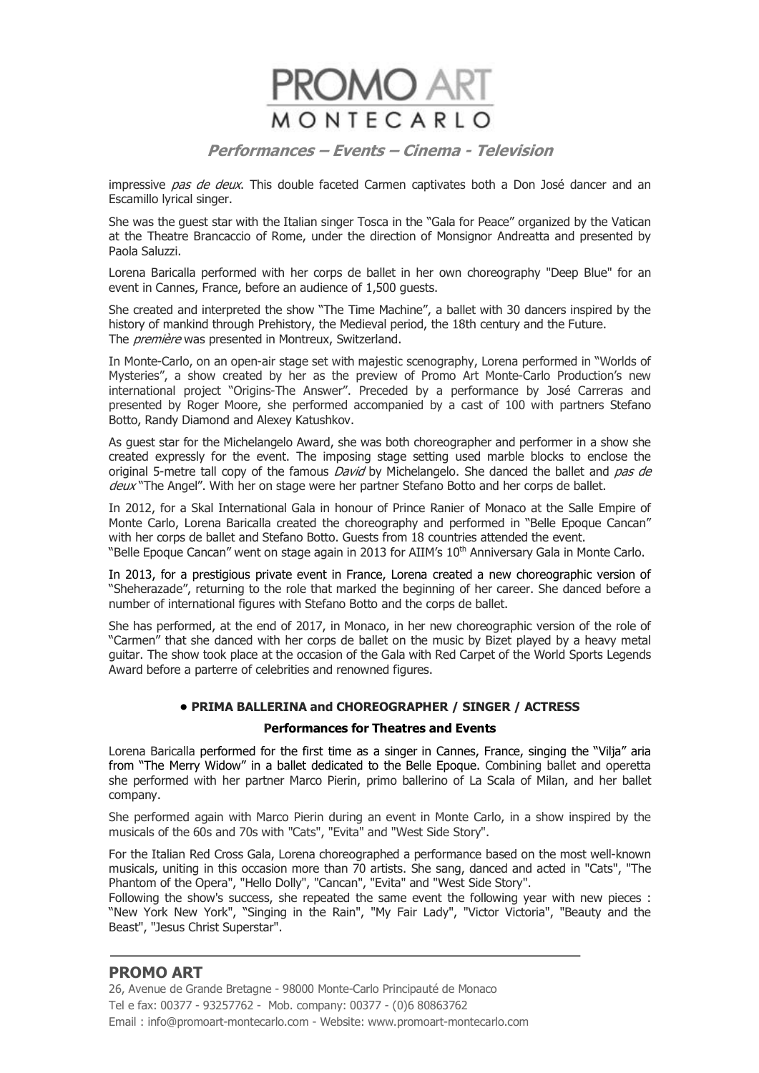

impressive pas de deux. This double faceted Carmen captivates both a Don José dancer and an Escamillo lyrical singer.

She was the guest star with the Italian singer Tosca in the "Gala for Peace" organized by the Vatican at the Theatre Brancaccio of Rome, under the direction of Monsignor Andreatta and presented by Paola Saluzzi.

Lorena Baricalla performed with her corps de ballet in her own choreography "Deep Blue" for an event in Cannes, France, before an audience of 1,500 guests.

She created and interpreted the show "The Time Machine", a ballet with 30 dancers inspired by the history of mankind through Prehistory, the Medieval period, the 18th century and the Future. The *première* was presented in Montreux, Switzerland.

In Monte-Carlo, on an open-air stage set with majestic scenography, Lorena performed in "Worlds of Mysteries", a show created by her as the preview of Promo Art Monte-Carlo Production's new international project "Origins-The Answer". Preceded by a performance by José Carreras and presented by Roger Moore, she performed accompanied by a cast of 100 with partners Stefano Botto, Randy Diamond and Alexey Katushkov.

As guest star for the Michelangelo Award, she was both choreographer and performer in a show she created expressly for the event. The imposing stage setting used marble blocks to enclose the original 5-metre tall copy of the famous *David* by Michelangelo. She danced the ballet and *pas de* deux "The Angel". With her on stage were her partner Stefano Botto and her corps de ballet.

In 2012, for a Skal International Gala in honour of Prince Ranier of Monaco at the Salle Empire of Monte Carlo, Lorena Baricalla created the choreography and performed in "Belle Epoque Cancan" with her corps de ballet and Stefano Botto. Guests from 18 countries attended the event. "Belle Epoque Cancan" went on stage again in 2013 for AIIM's 10<sup>th</sup> Anniversary Gala in Monte Carlo.

In 2013, for a prestigious private event in France, Lorena created a new choreographic version of "Sheherazade", returning to the role that marked the beginning of her career. She danced before a number of international figures with Stefano Botto and the corps de ballet.

She has performed, at the end of 2017, in Monaco, in her new choreographic version of the role of "Carmen" that she danced with her corps de ballet on the music by Bizet played by a heavy metal guitar. The show took place at the occasion of the Gala with Red Carpet of the World Sports Legends Award before a parterre of celebrities and renowned figures.

#### **• PRIMA BALLERINA and CHOREOGRAPHER / SINGER / ACTRESS**

#### **Performances for Theatres and Events**

Lorena Baricalla performed for the first time as a singer in Cannes, France, singing the "Vilja" aria from "The Merry Widow" in a ballet dedicated to the Belle Epoque. Combining ballet and operetta she performed with her partner Marco Pierin, primo ballerino of La Scala of Milan, and her ballet company.

She performed again with Marco Pierin during an event in Monte Carlo, in a show inspired by the musicals of the 60s and 70s with "Cats", "Evita" and "West Side Story".

For the Italian Red Cross Gala, Lorena choreographed a performance based on the most well-known musicals, uniting in this occasion more than 70 artists. She sang, danced and acted in "Cats", "The Phantom of the Opera", "Hello Dolly", "Cancan", "Evita" and "West Side Story".

Following the show's success, she repeated the same event the following year with new pieces : "New York New York", "Singing in the Rain", "My Fair Lady", "Victor Victoria", "Beauty and the Beast", "Jesus Christ Superstar".

# **PROMO ART**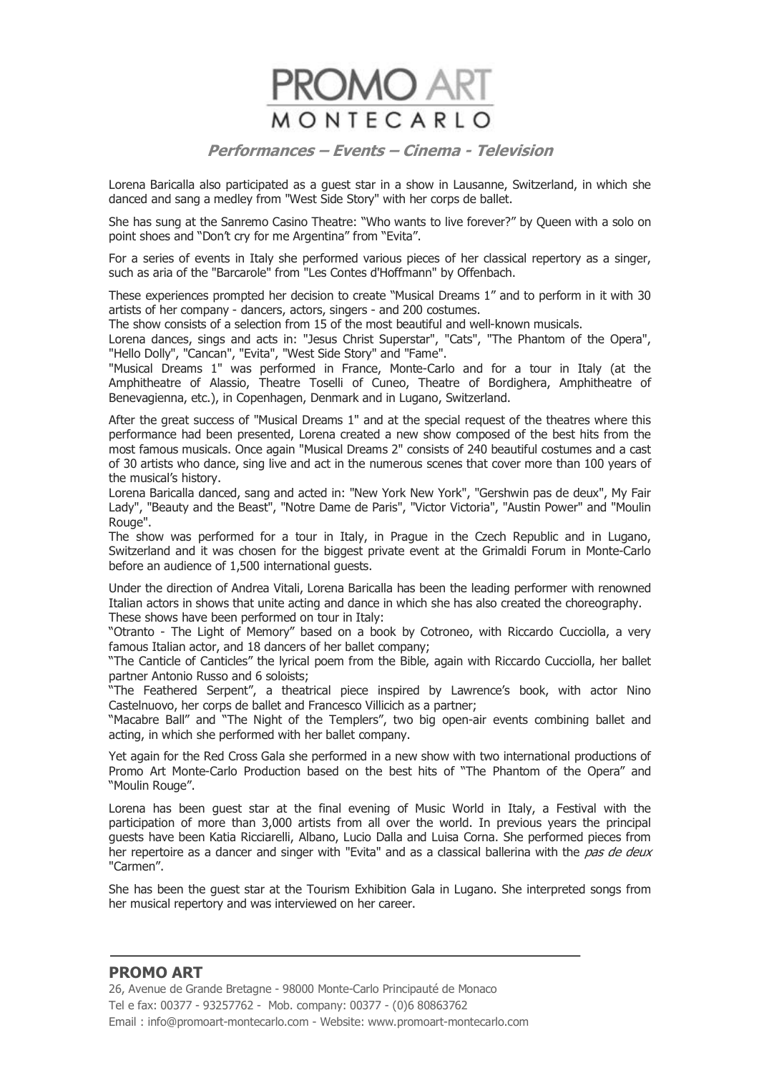

Lorena Baricalla also participated as a guest star in a show in Lausanne, Switzerland, in which she danced and sang a medley from "West Side Story" with her corps de ballet.

She has sung at the Sanremo Casino Theatre: "Who wants to live forever?" by Queen with a solo on point shoes and "Don't cry for me Argentina" from "Evita".

For a series of events in Italy she performed various pieces of her classical repertory as a singer, such as aria of the "Barcarole" from "Les Contes d'Hoffmann" by Offenbach.

These experiences prompted her decision to create "Musical Dreams 1" and to perform in it with 30 artists of her company - dancers, actors, singers - and 200 costumes.

The show consists of a selection from 15 of the most beautiful and well-known musicals.

Lorena dances, sings and acts in: "Jesus Christ Superstar", "Cats", "The Phantom of the Opera", "Hello Dolly", "Cancan", "Evita", "West Side Story" and "Fame".

"Musical Dreams 1" was performed in France, Monte-Carlo and for a tour in Italy (at the Amphitheatre of Alassio, Theatre Toselli of Cuneo, Theatre of Bordighera, Amphitheatre of Benevagienna, etc.), in Copenhagen, Denmark and in Lugano, Switzerland.

After the great success of "Musical Dreams 1" and at the special request of the theatres where this performance had been presented, Lorena created a new show composed of the best hits from the most famous musicals. Once again "Musical Dreams 2" consists of 240 beautiful costumes and a cast of 30 artists who dance, sing live and act in the numerous scenes that cover more than 100 years of the musical's history.

Lorena Baricalla danced, sang and acted in: "New York New York", "Gershwin pas de deux", My Fair Lady", "Beauty and the Beast", "Notre Dame de Paris", "Victor Victoria", "Austin Power" and "Moulin Rouge".

The show was performed for a tour in Italy, in Prague in the Czech Republic and in Lugano, Switzerland and it was chosen for the biggest private event at the Grimaldi Forum in Monte-Carlo before an audience of 1,500 international guests.

Under the direction of Andrea Vitali, Lorena Baricalla has been the leading performer with renowned Italian actors in shows that unite acting and dance in which she has also created the choreography. These shows have been performed on tour in Italy:

"Otranto - The Light of Memory" based on a book by Cotroneo, with Riccardo Cucciolla, a very famous Italian actor, and 18 dancers of her ballet company;

"The Canticle of Canticles" the lyrical poem from the Bible, again with Riccardo Cucciolla, her ballet partner Antonio Russo and 6 soloists;

"The Feathered Serpent", a theatrical piece inspired by Lawrence's book, with actor Nino Castelnuovo, her corps de ballet and Francesco Villicich as a partner;

"Macabre Ball" and "The Night of the Templers", two big open-air events combining ballet and acting, in which she performed with her ballet company.

Yet again for the Red Cross Gala she performed in a new show with two international productions of Promo Art Monte-Carlo Production based on the best hits of "The Phantom of the Opera" and "Moulin Rouge".

Lorena has been guest star at the final evening of Music World in Italy, a Festival with the participation of more than 3,000 artists from all over the world. In previous years the principal guests have been Katia Ricciarelli, Albano, Lucio Dalla and Luisa Corna. She performed pieces from her repertoire as a dancer and singer with "Evita" and as a classical ballerina with the pas de deux "Carmen".

She has been the guest star at the Tourism Exhibition Gala in Lugano. She interpreted songs from her musical repertory and was interviewed on her career.

# **PROMO ART**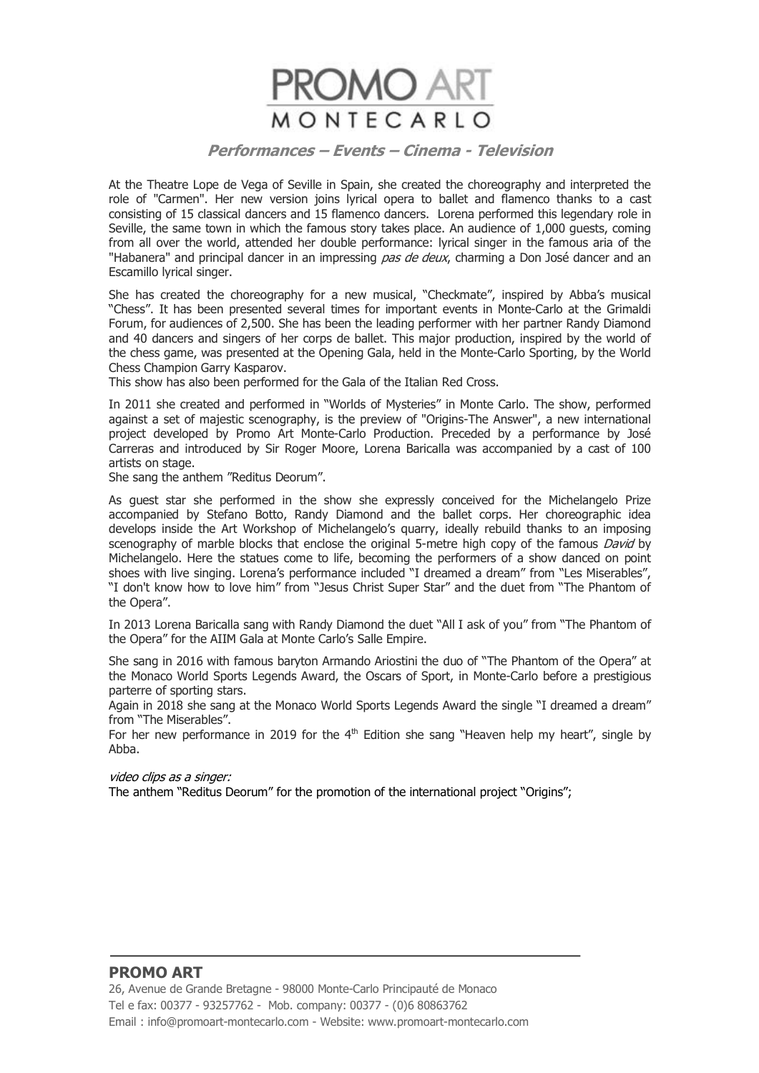

At the Theatre Lope de Vega of Seville in Spain, she created the choreography and interpreted the role of "Carmen". Her new version joins lyrical opera to ballet and flamenco thanks to a cast consisting of 15 classical dancers and 15 flamenco dancers. Lorena performed this legendary role in Seville, the same town in which the famous story takes place. An audience of 1,000 guests, coming from all over the world, attended her double performance: lyrical singer in the famous aria of the "Habanera" and principal dancer in an impressing *pas de deux*, charming a Don José dancer and an Escamillo lyrical singer.

She has created the choreography for a new musical, "Checkmate", inspired by Abba's musical "Chess". It has been presented several times for important events in Monte-Carlo at the Grimaldi Forum, for audiences of 2,500. She has been the leading performer with her partner Randy Diamond and 40 dancers and singers of her corps de ballet. This major production, inspired by the world of the chess game, was presented at the Opening Gala, held in the Monte-Carlo Sporting, by the World Chess Champion Garry Kasparov.

This show has also been performed for the Gala of the Italian Red Cross.

In 2011 she created and performed in "Worlds of Mysteries" in Monte Carlo. The show, performed against a set of majestic scenography, is the preview of "Origins-The Answer", a new international project developed by Promo Art Monte-Carlo Production. Preceded by a performance by José Carreras and introduced by Sir Roger Moore, Lorena Baricalla was accompanied by a cast of 100 artists on stage.

She sang the anthem "Reditus Deorum".

As guest star she performed in the show she expressly conceived for the Michelangelo Prize accompanied by Stefano Botto, Randy Diamond and the ballet corps. Her choreographic idea develops inside the Art Workshop of Michelangelo's quarry, ideally rebuild thanks to an imposing scenography of marble blocks that enclose the original 5-metre high copy of the famous *David* by Michelangelo. Here the statues come to life, becoming the performers of a show danced on point shoes with live singing. Lorena's performance included "I dreamed a dream" from "Les Miserables", "I don't know how to love him" from "Jesus Christ Super Star" and the duet from "The Phantom of the Opera".

In 2013 Lorena Baricalla sang with Randy Diamond the duet "All I ask of you" from "The Phantom of the Opera" for the AIIM Gala at Monte Carlo's Salle Empire.

She sang in 2016 with famous baryton Armando Ariostini the duo of "The Phantom of the Opera" at the Monaco World Sports Legends Award, the Oscars of Sport, in Monte-Carlo before a prestigious parterre of sporting stars.

Again in 2018 she sang at the Monaco World Sports Legends Award the single "I dreamed a dream" from "The Miserables".

For her new performance in 2019 for the  $4<sup>th</sup>$  Edition she sang "Heaven help my heart", single by Abba.

#### video clips as a singer:

The anthem "Reditus Deorum" for the promotion of the international project "Origins";

# **PROMO ART**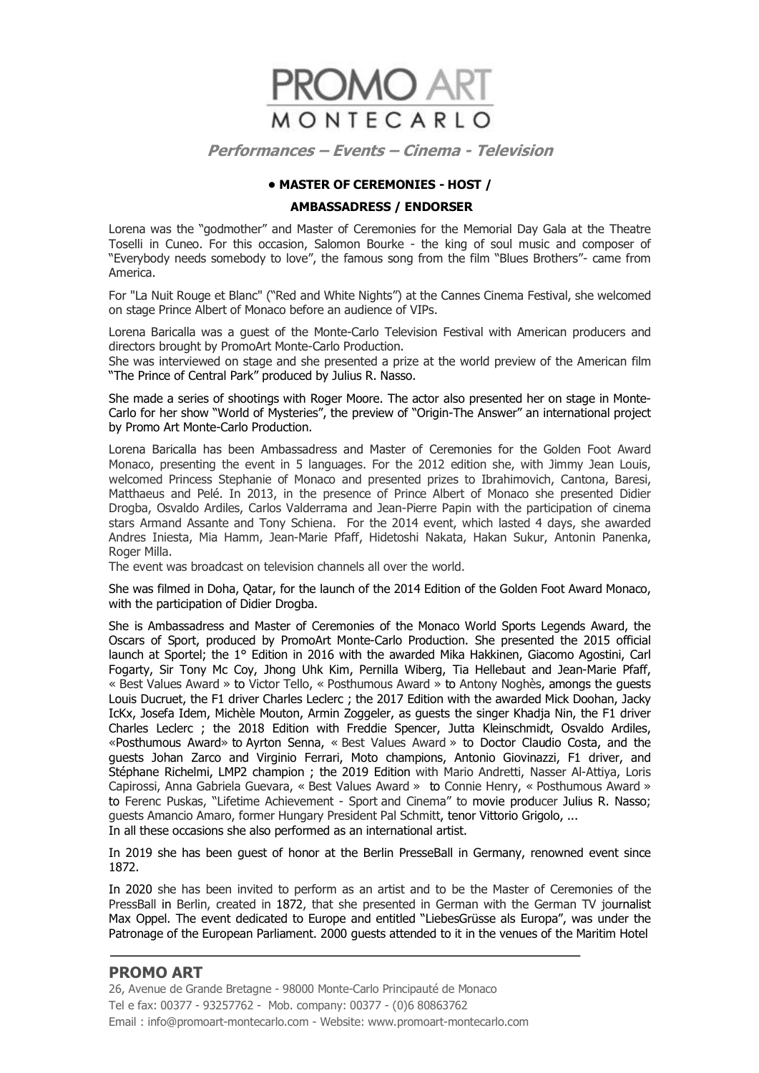

#### **• MASTER OF CEREMONIES - HOST /**

#### **AMBASSADRESS / ENDORSER**

Lorena was the "godmother" and Master of Ceremonies for the Memorial Day Gala at the Theatre Toselli in Cuneo. For this occasion, Salomon Bourke - the king of soul music and composer of "Everybody needs somebody to love", the famous song from the film "Blues Brothers"- came from America.

For "La Nuit Rouge et Blanc" ("Red and White Nights") at the Cannes Cinema Festival, she welcomed on stage Prince Albert of Monaco before an audience of VIPs.

Lorena Baricalla was a guest of the Monte-Carlo Television Festival with American producers and directors brought by PromoArt Monte-Carlo Production.

She was interviewed on stage and she presented a prize at the world preview of the American film "The Prince of Central Park" produced by Julius R. Nasso.

She made a series of shootings with Roger Moore. The actor also presented her on stage in Monte-Carlo for her show "World of Mysteries", the preview of "Origin-The Answer" an international project by Promo Art Monte-Carlo Production.

Lorena Baricalla has been Ambassadress and Master of Ceremonies for the Golden Foot Award Monaco, presenting the event in 5 languages. For the 2012 edition she, with Jimmy Jean Louis, welcomed Princess Stephanie of Monaco and presented prizes to Ibrahimovich, Cantona, Baresi, Matthaeus and Pelé. In 2013, in the presence of Prince Albert of Monaco she presented Didier Drogba, Osvaldo Ardiles, Carlos Valderrama and Jean-Pierre Papin with the participation of cinema stars Armand Assante and Tony Schiena. For the 2014 event, which lasted 4 days, she awarded Andres Iniesta, Mia Hamm, Jean-Marie Pfaff, Hidetoshi Nakata, Hakan Sukur, Antonin Panenka, Roger Milla.

The event was broadcast on television channels all over the world.

She was filmed in Doha, Qatar, for the launch of the 2014 Edition of the Golden Foot Award Monaco, with the participation of Didier Drogba.

She is Ambassadress and Master of Ceremonies of the Monaco World Sports Legends Award, the Oscars of Sport, produced by PromoArt Monte-Carlo Production. She presented the 2015 official launch at Sportel; the 1° Edition in 2016 with the awarded Mika Hakkinen, Giacomo Agostini, Carl Fogarty, Sir Tony Mc Coy, Jhong Uhk Kim, Pernilla Wiberg, Tia Hellebaut and Jean-Marie Pfaff, « Best Values Award » to Victor Tello, « Posthumous Award » to Antony Noghès, amongs the guests Louis Ducruet, the F1 driver Charles Leclerc ; the 2017 Edition with the awarded Mick Doohan, Jacky IcKx, Josefa Idem, Michèle Mouton, Armin Zoggeler, as guests the singer Khadja Nin, the F1 driver Charles Leclerc ; the 2018 Edition with Freddie Spencer, Jutta Kleinschmidt, Osvaldo Ardiles, «Posthumous Award» to Ayrton Senna, « Best Values Award » to Doctor Claudio Costa, and the guests Johan Zarco and Virginio Ferrari, Moto champions, Antonio Giovinazzi, F1 driver, and Stéphane Richelmi, LMP2 champion ; the 2019 Edition with Mario Andretti, Nasser Al-Attiya, Loris Capirossi, Anna Gabriela Guevara, « Best Values Award » to Connie Henry, « Posthumous Award » to Ferenc Puskas, "Lifetime Achievement - Sport and Cinema" to movie producer Julius R. Nasso; guests Amancio Amaro, former Hungary President Pal Schmitt, tenor Vittorio Grigolo, ... In all these occasions she also performed as an international artist.

In 2019 she has been guest of honor at the Berlin PresseBall in Germany, renowned event since 1872.

In 2020 she has been invited to perform as an artist and to be the Master of Ceremonies of the PressBall in Berlin, created in 1872, that she presented in German with the German TV journalist Max Oppel. The event dedicated to Europe and entitled "LiebesGrüsse als Europa", was under the Patronage of the European Parliament. 2000 guests attended to it in the venues of the Maritim Hotel

# **PROMO ART**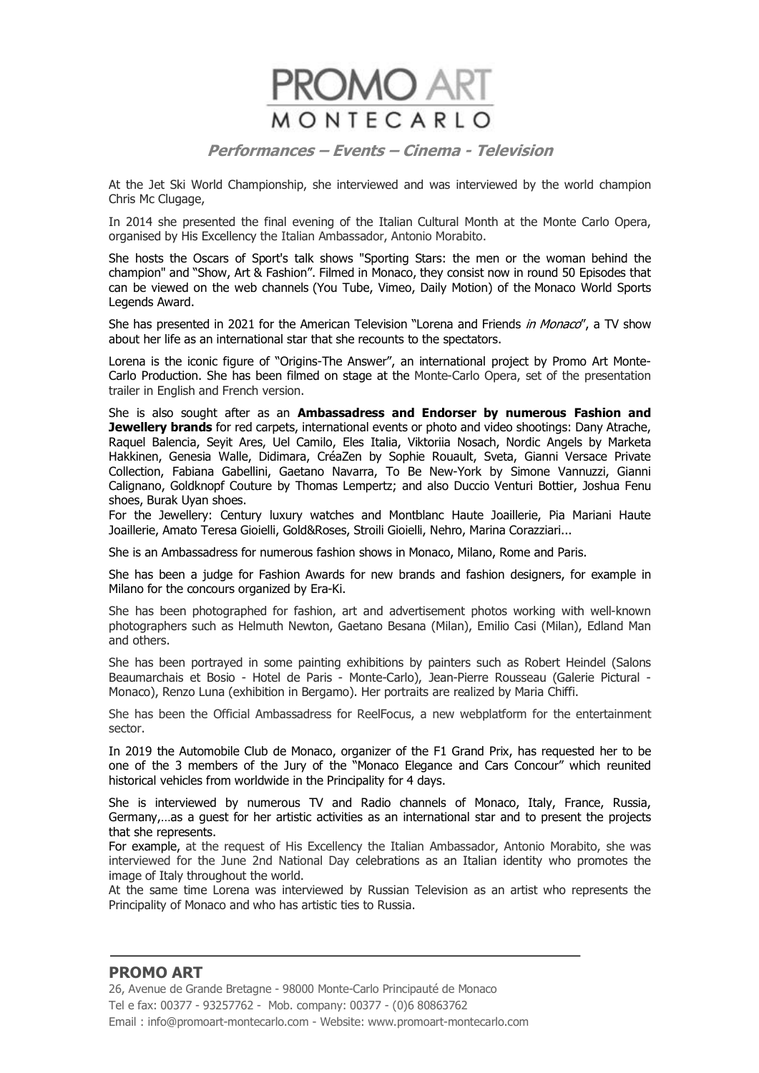

At the Jet Ski World Championship, she interviewed and was interviewed by the world champion Chris Mc Clugage,

In 2014 she presented the final evening of the Italian Cultural Month at the Monte Carlo Opera, organised by His Excellency the Italian Ambassador, Antonio Morabito.

She hosts the Oscars of Sport's talk shows "Sporting Stars: the men or the woman behind the champion" and "Show, Art & Fashion". Filmed in Monaco, they consist now in round 50 Episodes that can be viewed on the web channels (You Tube, Vimeo, Daily Motion) of the Monaco World Sports Legends Award.

She has presented in 2021 for the American Television "Lorena and Friends in Monaco", a TV show about her life as an international star that she recounts to the spectators.

Lorena is the iconic figure of "Origins-The Answer", an international project by Promo Art Monte-Carlo Production. She has been filmed on stage at the Monte-Carlo Opera, set of the presentation trailer in English and French version.

She is also sought after as an **Ambassadress and Endorser by numerous Fashion and Jewellery brands** for red carpets, international events or photo and video shootings: Dany Atrache, Raquel Balencia, Seyit Ares, Uel Camilo, Eles Italia, Viktoriia Nosach, Nordic Angels by Marketa Hakkinen, Genesia Walle, Didimara, CréaZen by Sophie Rouault, Sveta, Gianni Versace Private Collection, Fabiana Gabellini, Gaetano Navarra, To Be New-York by Simone Vannuzzi, Gianni Calignano, Goldknopf Couture by Thomas Lempertz; and also Duccio Venturi Bottier, Joshua Fenu shoes, Burak Uyan shoes.

For the Jewellery: Century luxury watches and Montblanc Haute Joaillerie, Pia Mariani Haute Joaillerie, Amato Teresa Gioielli, Gold&Roses, Stroili Gioielli, Nehro, Marina Corazziari...

She is an Ambassadress for numerous fashion shows in Monaco, Milano, Rome and Paris.

She has been a judge for Fashion Awards for new brands and fashion designers, for example in Milano for the concours organized by Era-Ki.

She has been photographed for fashion, art and advertisement photos working with well-known photographers such as Helmuth Newton, Gaetano Besana (Milan), Emilio Casi (Milan), Edland Man and others.

She has been portrayed in some painting exhibitions by painters such as Robert Heindel (Salons Beaumarchais et Bosio - Hotel de Paris - Monte-Carlo), Jean-Pierre Rousseau (Galerie Pictural - Monaco), Renzo Luna (exhibition in Bergamo). Her portraits are realized by Maria Chiffi.

She has been the Official Ambassadress for ReelFocus, a new webplatform for the entertainment sector.

In 2019 the Automobile Club de Monaco, organizer of the F1 Grand Prix, has requested her to be one of the 3 members of the Jury of the "Monaco Elegance and Cars Concour" which reunited historical vehicles from worldwide in the Principality for 4 days.

She is interviewed by numerous TV and Radio channels of Monaco, Italy, France, Russia, Germany,…as a guest for her artistic activities as an international star and to present the projects that she represents.

For example, at the request of His Excellency the Italian Ambassador, Antonio Morabito, she was interviewed for the June 2nd National Day celebrations as an Italian identity who promotes the image of Italy throughout the world.

At the same time Lorena was interviewed by Russian Television as an artist who represents the Principality of Monaco and who has artistic ties to Russia.

# **PROMO ART**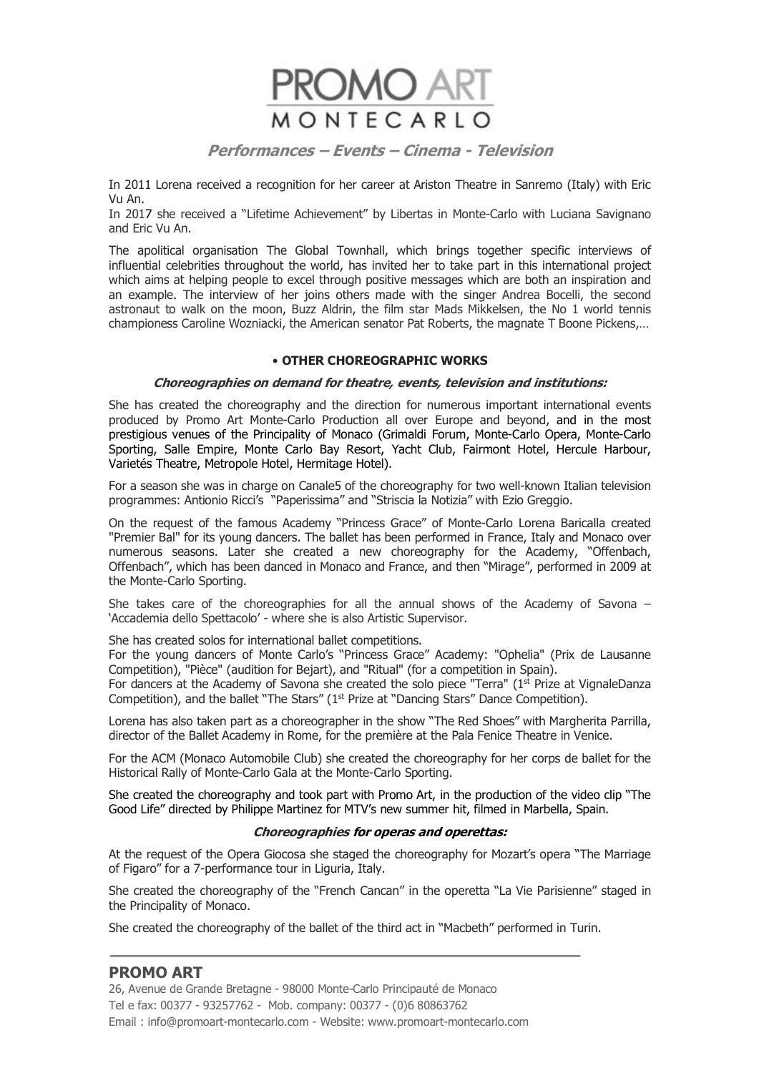

In 2011 Lorena received a recognition for her career at Ariston Theatre in Sanremo (Italy) with Eric Vu An.

In 2017 she received a "Lifetime Achievement" by Libertas in Monte-Carlo with Luciana Savignano and Eric Vu An.

The apolitical organisation The Global Townhall, which brings together specific interviews of influential celebrities throughout the world, has invited her to take part in this international project which aims at helping people to excel through positive messages which are both an inspiration and an example. The interview of her joins others made with the singer Andrea Bocelli, the second astronaut to walk on the moon, Buzz Aldrin, the film star Mads Mikkelsen, the No 1 world tennis championess Caroline Wozniacki, the American senator Pat Roberts, the magnate T Boone Pickens,…

#### • **OTHER CHOREOGRAPHIC WORKS**

#### **Choreographies on demand for theatre, events, television and institutions:**

She has created the choreography and the direction for numerous important international events produced by Promo Art Monte-Carlo Production all over Europe and beyond, and in the most prestigious venues of the Principality of Monaco (Grimaldi Forum, Monte-Carlo Opera, Monte-Carlo Sporting, Salle Empire, Monte Carlo Bay Resort, Yacht Club, Fairmont Hotel, Hercule Harbour, Varietés Theatre, Metropole Hotel, Hermitage Hotel).

For a season she was in charge on Canale5 of the choreography for two well-known Italian television programmes: Antionio Ricci's "Paperissima" and "Striscia la Notizia" with Ezio Greggio.

On the request of the famous Academy "Princess Grace" of Monte-Carlo Lorena Baricalla created "Premier Bal" for its young dancers. The ballet has been performed in France, Italy and Monaco over numerous seasons. Later she created a new choreography for the Academy, "Offenbach, Offenbach", which has been danced in Monaco and France, and then "Mirage", performed in 2009 at the Monte-Carlo Sporting.

She takes care of the choreographies for all the annual shows of the Academy of Savona – 'Accademia dello Spettacolo' - where she is also Artistic Supervisor.

She has created solos for international ballet competitions.

For the young dancers of Monte Carlo's "Princess Grace" Academy: "Ophelia" (Prix de Lausanne Competition), "Pièce" (audition for Bejart), and "Ritual" (for a competition in Spain).

For dancers at the Academy of Savona she created the solo piece "Terra" ( $1<sup>st</sup>$  Prize at VignaleDanza Competition), and the ballet "The Stars" (1<sup>st</sup> Prize at "Dancing Stars" Dance Competition).

Lorena has also taken part as a choreographer in the show "The Red Shoes" with Margherita Parrilla, director of the Ballet Academy in Rome, for the première at the Pala Fenice Theatre in Venice.

For the ACM (Monaco Automobile Club) she created the choreography for her corps de ballet for the Historical Rally of Monte-Carlo Gala at the Monte-Carlo Sporting.

She created the choreography and took part with Promo Art, in the production of the video clip "The Good Life" directed by Philippe Martinez for MTV's new summer hit, filmed in Marbella, Spain.

#### **Choreographies for operas and operettas:**

At the request of the Opera Giocosa she staged the choreography for Mozart's opera "The Marriage of Figaro" for a 7-performance tour in Liguria, Italy.

She created the choreography of the "French Cancan" in the operetta "La Vie Parisienne" staged in the Principality of Monaco.

She created the choreography of the ballet of the third act in "Macbeth" performed in Turin.

# **PROMO ART**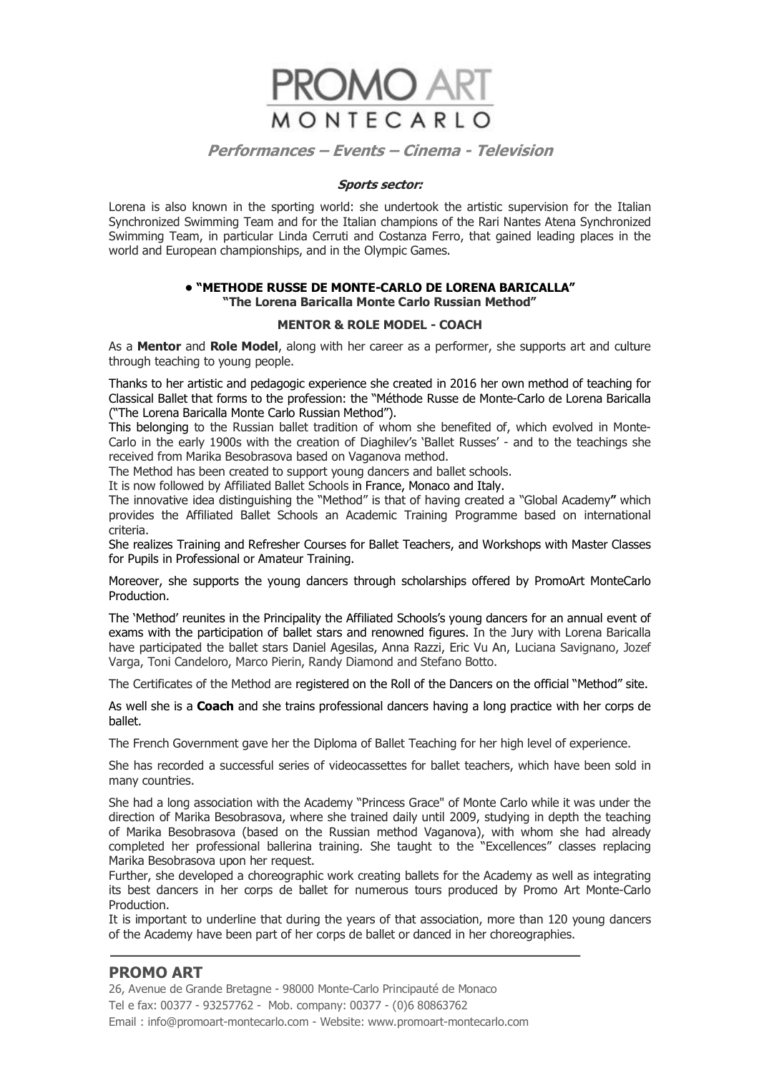

#### **Sports sector:**

Lorena is also known in the sporting world: she undertook the artistic supervision for the Italian Synchronized Swimming Team and for the Italian champions of the Rari Nantes Atena Synchronized Swimming Team, in particular Linda Cerruti and Costanza Ferro, that gained leading places in the world and European championships, and in the Olympic Games.

#### **• "METHODE RUSSE DE MONTE-CARLO DE LORENA BARICALLA" "The Lorena Baricalla Monte Carlo Russian Method"**

#### **MENTOR & ROLE MODEL - COACH**

As a **Mentor** and **Role Model**, along with her career as a performer, she supports art and culture through teaching to young people.

Thanks to her artistic and pedagogic experience she created in 2016 her own method of teaching for Classical Ballet that forms to the profession: the "Méthode Russe de Monte-Carlo de Lorena Baricalla ("The Lorena Baricalla Monte Carlo Russian Method").

This belonging to the Russian ballet tradition of whom she benefited of, which evolved in Monte-Carlo in the early 1900s with the creation of Diaghilev's 'Ballet Russes' - and to the teachings she received from Marika Besobrasova based on Vaganova method.

The Method has been created to support young dancers and ballet schools.

It is now followed by Affiliated Ballet Schools in France, Monaco and Italy.

The innovative idea distinguishing the "Method" is that of having created a "Global Academy**"** which provides the Affiliated Ballet Schools an Academic Training Programme based on international criteria.

She realizes Training and Refresher Courses for Ballet Teachers, and Workshops with Master Classes for Pupils in Professional or Amateur Training.

Moreover, she supports the young dancers through scholarships offered by PromoArt MonteCarlo **Production** 

The 'Method' reunites in the Principality the Affiliated Schools's young dancers for an annual event of exams with the participation of ballet stars and renowned figures. In the Jury with Lorena Baricalla have participated the ballet stars Daniel Agesilas, Anna Razzi, Eric Vu An, Luciana Savignano, Jozef Varga, Toni Candeloro, Marco Pierin, Randy Diamond and Stefano Botto.

The Certificates of the Method are registered on the Roll of the Dancers on the official "Method" site.

As well she is a **Coach** and she trains professional dancers having a long practice with her corps de ballet.

The French Government gave her the Diploma of Ballet Teaching for her high level of experience.

She has recorded a successful series of videocassettes for ballet teachers, which have been sold in many countries.

She had a long association with the Academy "Princess Grace" of Monte Carlo while it was under the direction of Marika Besobrasova, where she trained daily until 2009, studying in depth the teaching of Marika Besobrasova (based on the Russian method Vaganova), with whom she had already completed her professional ballerina training. She taught to the "Excellences" classes replacing Marika Besobrasova upon her request.

Further, she developed a choreographic work creating ballets for the Academy as well as integrating its best dancers in her corps de ballet for numerous tours produced by Promo Art Monte-Carlo **Production** 

It is important to underline that during the years of that association, more than 120 young dancers of the Academy have been part of her corps de ballet or danced in her choreographies.

# **PROMO ART**